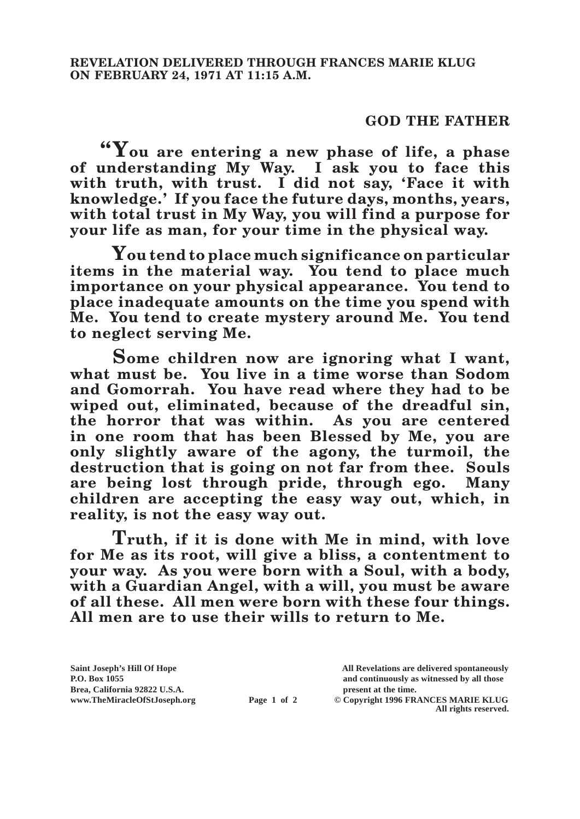## **GOD THE FATHER**

**"You are entering a new phase of life, a phase of understanding My Way. I ask you to face this with truth, with trust. I did not say, 'Face it with knowledge.' If you face the future days, months, years, with total trust in My Way, you will find a purpose for your life as man, for your time in the physical way.**

**You tend to place much significance on particular items in the material way. You tend to place much importance on your physical appearance. You tend to place inadequate amounts on the time you spend with Me. You tend to create mystery around Me. You tend to neglect serving Me.**

**Some children now are ignoring what I want, what must be. You live in a time worse than Sodom and Gomorrah. You have read where they had to be wiped out, eliminated, because of the dreadful sin, the horror that was within. As you are centered in one room that has been Blessed by Me, you are only slightly aware of the agony, the turmoil, the destruction that is going on not far from thee. Souls are being lost through pride, through ego. Many children are accepting the easy way out, which, in reality, is not the easy way out.**

**Truth, if it is done with Me in mind, with love for Me as its root, will give a bliss, a contentment to your way. As you were born with a Soul, with a body, with a Guardian Angel, with a will, you must be aware of all these. All men were born with these four things. All men are to use their wills to return to Me.**

**Saint Joseph's Hill Of Hope All Revelations are delivered spontaneously Brea, California 92822 U.S.A. present at the time.**<br> **present at the time.**<br> **present at the time.**<br> **Page 1 of 2** © Copyright 1996 FR.

**P.O. Box 1055 and continuously as witnessed by all those** 

**Page 1 of 2** © Copyright 1996 FRANCES MARIE KLUG **All rights reserved.**